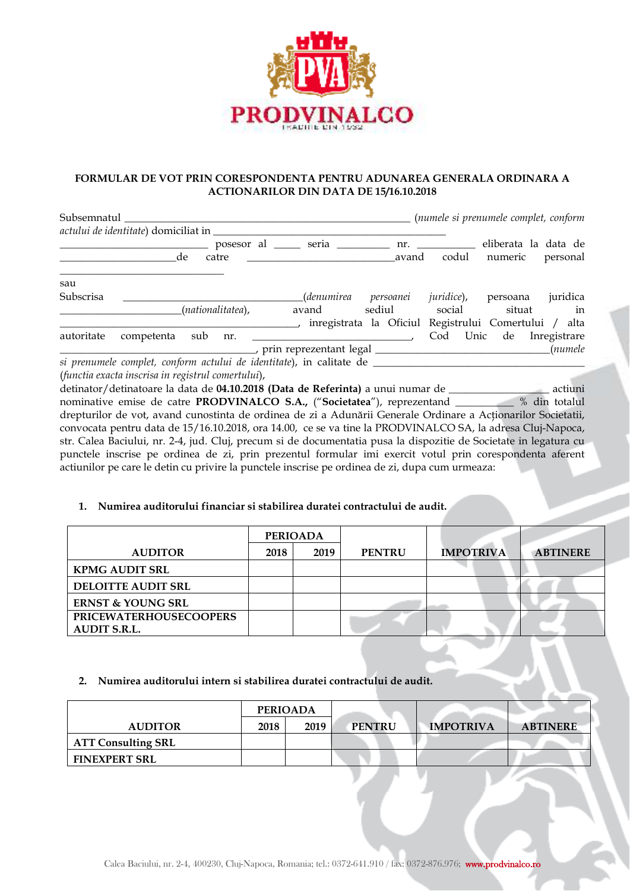

### **FORMULAR DE VOT PRIN CORESPONDENTA PENTRU ADUNAREA GENERALA ORDINARA A ACTIONARILOR DIN DATA DE 15/16.10.2018**

| Subsemnatul |                                                                                  |                     |              |                                                       | (numele si prenumele complet, conform |                                 |              |
|-------------|----------------------------------------------------------------------------------|---------------------|--------------|-------------------------------------------------------|---------------------------------------|---------------------------------|--------------|
|             | actului de identitate) domiciliat in                                             |                     |              |                                                       |                                       |                                 |              |
|             | de                                                                               | posesor al<br>catre | <b>Seria</b> | avand                                                 | nr.<br>codul                          | eliberata la data de<br>numeric | personal     |
| sau         |                                                                                  |                     |              |                                                       |                                       |                                 |              |
| Subscrisa   |                                                                                  |                     | (denumirea   | persoanei                                             | juridice),                            | persoana                        | juridica     |
|             |                                                                                  | (nationalitatea),   | avand        | sediul                                                | social                                | situat                          | in           |
|             |                                                                                  |                     |              | inregistrata la Oficiul Registrului Comertului / alta |                                       |                                 |              |
| autoritate  | competenta                                                                       | sub<br>nr.          |              |                                                       | Cod<br>Unic                           | de                              | Inregistrare |
|             |                                                                                  |                     |              |                                                       |                                       |                                 | (numele      |
|             | si prenumele complet, conform actului de identitate), in calitate de ___________ |                     |              |                                                       |                                       |                                 |              |
|             | (functia exacta inscrisa in registrul comertului),                               |                     |              |                                                       |                                       |                                 |              |

detinator/detinatoare la data de **04.10.2018 (Data de Referinta)** a unui numar de \_\_\_\_\_\_\_\_\_\_\_\_\_\_\_\_\_\_\_ actiuni nominative emise de catre **PRODVINALCO S.A.,** ("**Societatea**"), reprezentand \_\_\_\_\_\_\_\_\_\_\_ % din totalul drepturilor de vot, avand cunostinta de ordinea de zi a Adunării Generale Ordinare a Actionarilor Societatii, convocata pentru data de 15/16.10.2018, ora 14.00, ce se va tine la PRODVINALCO SA, la adresa Cluj-Napoca, str. Calea Baciului, nr. 2-4, jud. Cluj, precum si de documentatia pusa la dispozitie de Societate in legatura cu punctele inscrise pe ordinea de zi, prin prezentul formular imi exercit votul prin corespondenta aferent actiunilor pe care le detin cu privire la punctele inscrise pe ordinea de zi, dupa cum urmeaza:

### **1. Numirea auditorului financiar si stabilirea duratei contractului de audit.**

|                               | <b>PERIOADA</b> |      |               |                  |                 |
|-------------------------------|-----------------|------|---------------|------------------|-----------------|
| <b>AUDITOR</b>                | 2018            | 2019 | <b>PENTRU</b> | <b>IMPOTRIVA</b> | <b>ABTINERE</b> |
| <b>KPMG AUDIT SRL</b>         |                 |      |               |                  |                 |
| <b>DELOITTE AUDIT SRL</b>     |                 |      |               |                  |                 |
| <b>ERNST &amp; YOUNG SRL</b>  |                 |      |               |                  |                 |
| <b>PRICEWATERHOUSECOOPERS</b> |                 |      |               |                  |                 |
| <b>AUDIT S.R.L.</b>           |                 |      |               |                  |                 |

### **2. Numirea auditorului intern si stabilirea duratei contractului de audit.**

|                           | <b>PERIOADA</b> |      |               |                  |                 |
|---------------------------|-----------------|------|---------------|------------------|-----------------|
| <b>AUDITOR</b>            | 2018            | 2019 | <b>PENTRU</b> | <b>IMPOTRIVA</b> | <b>ABTINERE</b> |
| <b>ATT Consulting SRL</b> |                 |      |               |                  |                 |
| <b>FINEXPERT SRL</b>      |                 |      |               |                  |                 |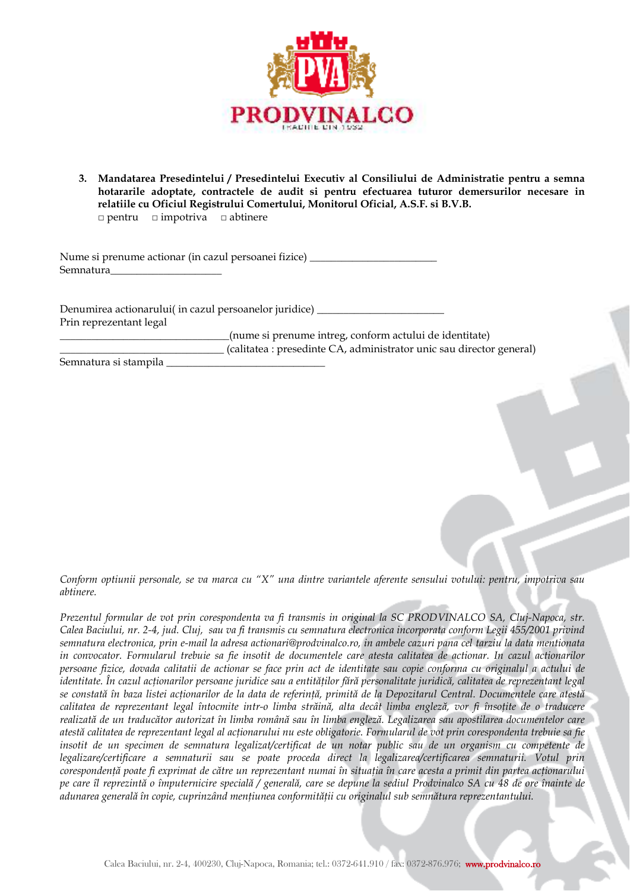

**3. Mandatarea Presedintelui / Presedintelui Executiv al Consiliului de Administratie pentru a semna hotararile adoptate, contractele de audit si pentru efectuarea tuturor demersurilor necesare in relatiile cu Oficiul Registrului Comertului, Monitorul Oficial, A.S.F. si B.V.B.**  □ pentru □ impotriva □ abtinere

Nume si prenume actionar (in cazul persoanei fizice) \_\_\_\_\_\_\_\_\_\_\_\_\_\_\_\_\_\_\_\_\_\_\_\_\_\_\_ Semnatura\_\_\_\_\_\_\_\_\_\_\_\_\_\_\_\_\_\_\_\_\_

Denumirea actionarului( in cazul persoanelor juridice) \_\_\_\_\_\_\_\_\_\_\_\_\_\_\_\_\_\_\_\_\_\_\_\_ Prin reprezentant legal \_\_\_\_\_\_\_\_\_\_\_\_\_\_\_\_\_\_\_\_\_\_\_\_\_\_\_\_\_\_\_\_(nume si prenume intreg, conform actului de identitate)

\_\_\_\_\_\_\_\_\_\_\_\_\_\_\_\_\_\_\_\_\_\_\_\_\_\_\_\_\_\_\_ (calitatea : presedinte CA, administrator unic sau director general)

Semnatura si stampila \_\_\_\_\_\_\_\_\_\_\_\_\_\_\_\_\_\_\_\_\_\_\_\_\_\_\_\_\_\_

*Conform optiunii personale, se va marca cu "X" una dintre variantele aferente sensului votului: pentru, impotriva sau abtinere.* 

*Prezentul formular de vot prin corespondenta va fi transmis in original la SC PRODVINALCO SA, Cluj-Napoca, str. Calea Baciului, nr. 2-4, jud. Cluj, sau va fi transmis cu semnatura electronica incorporata conform Legii 455/2001 privind semnatura electronica, prin e-mail la adresa actionari@prodvinalco.ro, in ambele cazuri pana cel tarziu la data mentionata in convocator. Formularul trebuie sa fie insotit de documentele care atesta calitatea de actionar. In cazul actionarilor persoane fizice, dovada calitatii de actionar se face prin act de identitate sau copie conforma cu originalul a actului de identitate. În cazul acţionarilor persoane juridice sau a entităţilor fără personalitate juridică, calitatea de reprezentant legal se constată în baza listei acţionarilor de la data de referinţă, primită de la Depozitarul Central. Documentele care atestă calitatea de reprezentant legal întocmite intr-o limba străină, alta decât limba engleză, vor fi însoţite de o traducere realizată de un traducător autorizat în limba română sau în limba engleză. Legalizarea sau apostilarea documentelor care*  atestă calitatea de reprezentant legal al actionarului nu este obligatorie. Formularul de vot prin corespondenta trebuie sa fie *insotit de un specimen de semnatura legalizat/certificat de un notar public sau de un organism cu competente de legalizare/certificare a semnaturii sau se poate proceda direct la legalizarea/certificarea semnaturii. Votul prin corespondenţă poate fi exprimat de către un reprezentant numai în situaţia în care acesta a primit din partea acţionarului pe care îl reprezintă o împuternicire specială / generală, care se depune la sediul Prodvinalco SA cu 48 de ore înainte de adunarea generală în copie, cuprinzând menţiunea conformităţii cu originalul sub semnătura reprezentantului.*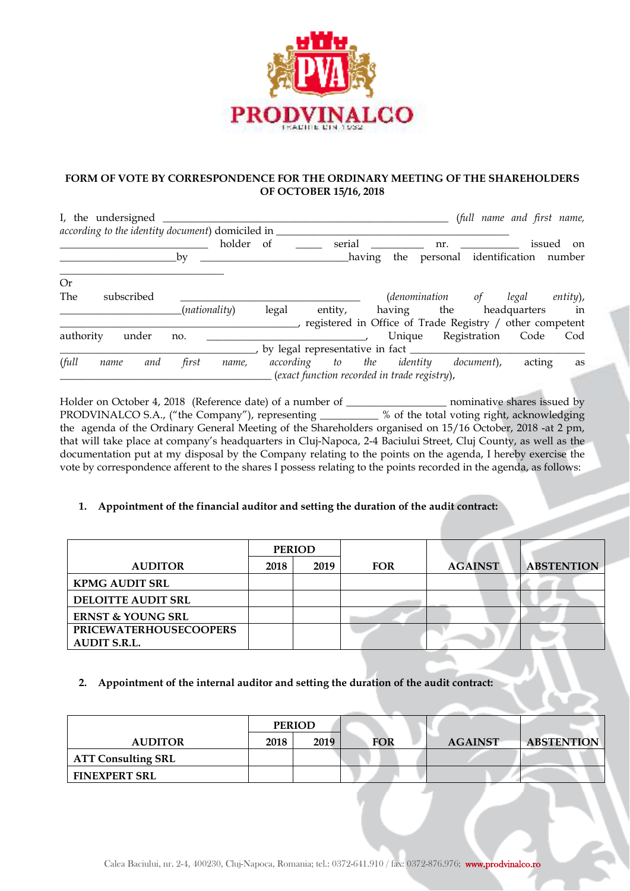

### **FORM OF VOTE BY CORRESPONDENCE FOR THE ORDINARY MEETING OF THE SHAREHOLDERS OF OCTOBER 15/16, 2018**

| I, the undersigned                               |               |        |                                   |         |        |          |                                                          |              |              | (full name and first name, |
|--------------------------------------------------|---------------|--------|-----------------------------------|---------|--------|----------|----------------------------------------------------------|--------------|--------------|----------------------------|
| according to the identity document) domiciled in |               |        |                                   |         |        |          |                                                          |              |              |                            |
|                                                  |               | holder | <sub>of</sub>                     | serial  |        |          | nr.                                                      |              | issued       | <sub>on</sub>              |
|                                                  | bv            |        |                                   |         | having |          | the personal identification number                       |              |              |                            |
| <b>Or</b>                                        |               |        |                                   |         |        |          |                                                          |              |              |                            |
| The<br>subscribed                                |               |        |                                   |         |        |          | <i>(denomination</i>                                     | of           | legal        | $entity)$ ,                |
|                                                  | (nationality) |        | legal                             | entity, |        | having   | the                                                      |              | headquarters | in                         |
|                                                  |               |        |                                   |         |        |          | registered in Office of Trade Registry / other competent |              |              |                            |
| under<br>authority                               | no.           |        |                                   |         |        | Unique   |                                                          | Registration | Code         | Cod                        |
|                                                  |               |        | by legal representative in fact _ |         |        |          |                                                          |              |              |                            |
| full<br>and<br>name                              | first         | name,  | according to the                  |         |        | identity |                                                          | document),   | acting       | as                         |
|                                                  |               |        |                                   |         |        |          | (exact function recorded in trade registry),             |              |              |                            |

Holder on October 4, 2018 (Reference date) of a number of \_\_\_\_\_\_\_\_\_\_\_\_\_\_\_\_\_\_\_\_\_\_\_ nominative shares issued by PRODVINALCO S.A., ("the Company"), representing \_\_\_\_\_\_\_\_\_\_\_ % of the total voting right, acknowledging the agenda of the Ordinary General Meeting of the Shareholders organised on 15/16 October, 2018 -at 2 pm, that will take place at company's headquarters in Cluj-Napoca, 2-4 Baciului Street, Cluj County, as well as the documentation put at my disposal by the Company relating to the points on the agenda, I hereby exercise the vote by correspondence afferent to the shares I possess relating to the points recorded in the agenda, as follows:

# **1. Appointment of the financial auditor and setting the duration of the audit contract:**

|                               | <b>PERIOD</b> |      |            |                |                   |
|-------------------------------|---------------|------|------------|----------------|-------------------|
| <b>AUDITOR</b>                | 2018          | 2019 | <b>FOR</b> | <b>AGAINST</b> | <b>ABSTENTION</b> |
| <b>KPMG AUDIT SRL</b>         |               |      |            |                |                   |
| <b>DELOITTE AUDIT SRL</b>     |               |      |            |                |                   |
| <b>ERNST &amp; YOUNG SRL</b>  |               |      |            |                |                   |
| <b>PRICEWATERHOUSECOOPERS</b> |               |      |            |                |                   |
| <b>AUDIT S.R.L.</b>           |               |      |            |                |                   |

# **2. Appointment of the internal auditor and setting the duration of the audit contract:**

|                           | <b>PERIOD</b> |      |     |                |                   |
|---------------------------|---------------|------|-----|----------------|-------------------|
| <b>AUDITOR</b>            | 2018          | 2019 | FOR | <b>AGAINST</b> | <b>ABSTENTION</b> |
| <b>ATT Consulting SRL</b> |               |      |     |                |                   |
| <b>FINEXPERT SRL</b>      |               |      |     |                |                   |